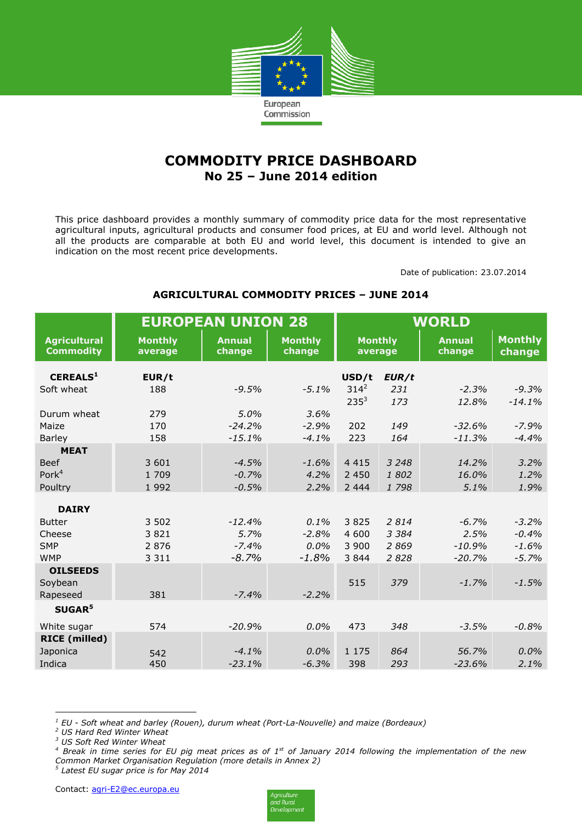

# **COMMODITY PRICE DASHBOARD No 25 – June 2014 edition**

This price dashboard provides a monthly summary of commodity price data for the most representative agricultural inputs, agricultural products and consumer food prices, at EU and world level. Although not all the products are comparable at both EU and world level, this document is intended to give an indication on the most recent price developments.

Date of publication: 23.07.2014

|                                                   |                           | <b>EUROPEAN UNION 28</b>      |                          |                               | <b>WORLD</b>               |                         |                          |  |  |  |  |
|---------------------------------------------------|---------------------------|-------------------------------|--------------------------|-------------------------------|----------------------------|-------------------------|--------------------------|--|--|--|--|
| <b>Agricultural</b><br><b>Commodity</b>           | <b>Monthly</b><br>average | <b>Annual</b><br>change       | <b>Monthly</b><br>change | <b>Monthly</b><br>average     |                            | <b>Annual</b><br>change | <b>Monthly</b><br>change |  |  |  |  |
| CEREALS <sup>1</sup>                              | EUR/t                     |                               |                          | USD/t                         | EUR/t                      |                         |                          |  |  |  |  |
| Soft wheat                                        | 188                       | $-9.5%$                       | $-5.1%$                  | $314^2$<br>$235^3$            | 231<br>173                 | $-2.3%$<br>12.8%        | $-9.3%$<br>$-14.1%$      |  |  |  |  |
| Durum wheat                                       | 279                       | 5.0%                          | 3.6%                     |                               |                            |                         |                          |  |  |  |  |
| Maize                                             | 170                       | $-24.2%$                      | $-2.9%$                  | 202                           | 149                        | $-32.6%$                | $-7.9%$                  |  |  |  |  |
| <b>Barley</b>                                     | 158                       | $-15.1%$                      | $-4.1%$                  | 223                           | 164                        | $-11.3%$                | $-4.4%$                  |  |  |  |  |
| <b>MEAT</b><br><b>Beef</b><br>Pork $4$<br>Poultry | 3 601<br>1 709<br>1 9 9 2 | $-4.5%$<br>$-0.7%$<br>$-0.5%$ | $-1.6%$<br>4.2%<br>2.2%  | 4 4 1 5<br>2 4 5 0<br>2 4 4 4 | 3 2 4 8<br>1802<br>1 7 9 8 | 14.2%<br>16.0%<br>5.1%  | 3.2%<br>1.2%<br>1.9%     |  |  |  |  |
| <b>DAIRY</b>                                      |                           |                               |                          |                               |                            |                         |                          |  |  |  |  |
| <b>Butter</b>                                     | 3 5 0 2                   | $-12.4%$                      | 0.1%                     | 3825                          | 2 8 1 4                    | $-6.7%$                 | $-3.2%$                  |  |  |  |  |
| Cheese                                            | 3821                      | 5.7%                          | $-2.8%$                  | 4 600                         | 3 3 8 4                    | 2.5%                    | $-0.4%$                  |  |  |  |  |
| <b>SMP</b><br><b>WMP</b>                          | 2876<br>3 3 1 1           | $-7.4%$<br>$-8.7%$            | $0.0\%$<br>$-1.8\%$      | 3 9 0 0<br>3844               | 2869                       | $-10.9%$                | $-1.6%$                  |  |  |  |  |
| <b>OILSEEDS</b><br>Soybean                        |                           |                               |                          | 515                           | 2828<br>379                | $-20.7%$<br>$-1.7%$     | $-5.7%$<br>$-1.5%$       |  |  |  |  |
| Rapeseed                                          | 381                       | $-7.4%$                       | $-2.2%$                  |                               |                            |                         |                          |  |  |  |  |
| SUGAR <sup>5</sup>                                |                           |                               |                          |                               |                            |                         |                          |  |  |  |  |
| White sugar                                       | 574                       | $-20.9%$                      | 0.0%                     | 473                           | 348                        | $-3.5%$                 | $-0.8%$                  |  |  |  |  |
| <b>RICE</b> (milled)                              |                           |                               |                          |                               |                            |                         |                          |  |  |  |  |
| Japonica<br>Indica                                | 542<br>450                | $-4.1\%$<br>$-23.1%$          | $0.0\%$<br>$-6.3%$       | 1 1 7 5<br>398                | 864<br>293                 | 56.7%<br>$-23.6%$       | $0.0\%$<br>2.1%          |  |  |  |  |
|                                                   |                           |                               |                          |                               |                            |                         |                          |  |  |  |  |

# **AGRICULTURAL COMMODITY PRICES – JUNE 2014**

1



*<sup>1</sup> EU - Soft wheat and barley (Rouen), durum wheat (Port-La-Nouvelle) and maize (Bordeaux)*

*<sup>2</sup> US Hard Red Winter Wheat*

*<sup>3</sup> US Soft Red Winter Wheat*

*<sup>4</sup> Break in time series for EU pig meat prices as of 1st of January 2014 following the implementation of the new Common Market Organisation Regulation (more details in Annex 2)* 

*<sup>5</sup> Latest EU sugar price is for May 2014*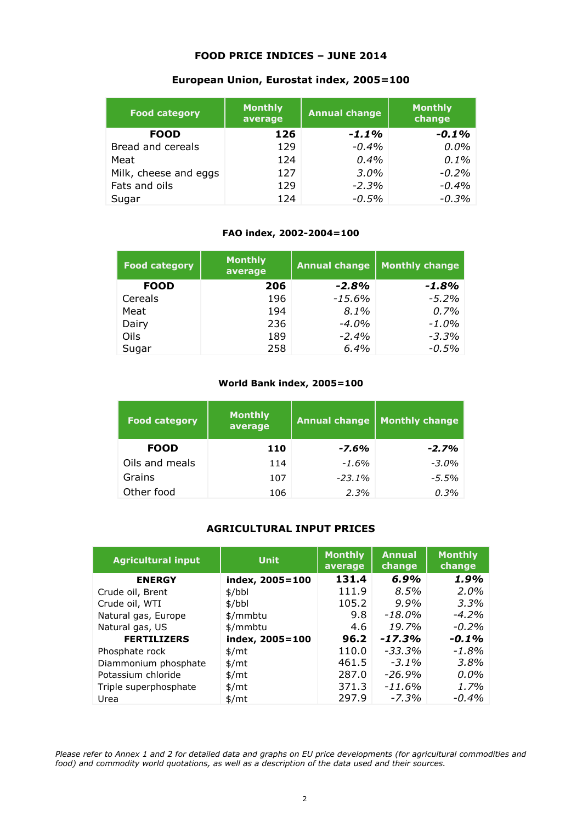### **FOOD PRICE INDICES – JUNE 2014**

| <b>Food category</b>  | <b>Monthly</b><br>average | <b>Annual change</b> | <b>Monthly</b><br>change |  |  |
|-----------------------|---------------------------|----------------------|--------------------------|--|--|
| <b>FOOD</b>           | 126                       | $-1.1\%$             | $-0.1%$                  |  |  |
| Bread and cereals     | 129                       | $-0.4%$              | $0.0\%$                  |  |  |
| Meat                  | 124                       | 0.4%                 | 0.1%                     |  |  |
| Milk, cheese and eggs | 127                       | $3.0\%$              | $-0.2%$                  |  |  |
| Fats and oils         | 129                       | $-2.3%$              | $-0.4%$                  |  |  |
| Sugar                 | 124                       | $-0.5%$              | $-0.3%$                  |  |  |

### **European Union, Eurostat index, 2005=100**

### **FAO index, 2002-2004=100**

| <b>Food category</b> | <b>Monthly</b><br>average | <b>Annual change</b> | <b>Monthly change</b> |  |  |
|----------------------|---------------------------|----------------------|-----------------------|--|--|
| <b>FOOD</b>          | 206                       | $-2.8%$              | -1.8%                 |  |  |
| Cereals              | 196                       | $-15.6%$             | $-5.2%$               |  |  |
| Meat                 | 194                       | $8.1\%$              | $0.7\%$               |  |  |
| Dairy                | 236                       | $-4.0\%$             | $-1.0%$               |  |  |
| Oils                 | 189                       | $-2.4%$              | -3.3%                 |  |  |
| Sugar                | 258                       | 6.4%                 | $-0.5\%$              |  |  |

### **World Bank index, 2005=100**

| <b>Food category</b> | <b>Monthly</b><br>average | <b>Annual change</b> | <b>Monthly change</b> |  |  |
|----------------------|---------------------------|----------------------|-----------------------|--|--|
| <b>FOOD</b>          | 110                       | $-7.6\%$             | $-2.7%$               |  |  |
| Oils and meals       | 114                       | -1.6%                | $-3.0%$               |  |  |
| Grains               | 107                       | $-23.1%$             | $-5.5%$               |  |  |
| Other food           | 106                       | 2.3%                 | $0.3\%$               |  |  |

### **AGRICULTURAL INPUT PRICES**

| <b>Agricultural input</b> | <b>Unit</b>       | <b>Monthly</b><br>average | <b>Annual</b><br>change | <b>Monthly</b><br>change |
|---------------------------|-------------------|---------------------------|-------------------------|--------------------------|
| <b>ENERGY</b>             | index, 2005=100   | 131.4                     | 6.9%                    | 1.9%                     |
| Crude oil, Brent          | \$/bbl            | 111.9                     | 8.5%                    | $2.0\%$                  |
| Crude oil, WTI            | $$$ /bbl          | 105.2                     | $9.9\%$                 | $3.3\%$                  |
| Natural gas, Europe       | \$/mmbtu          | 9.8                       | $-18.0\%$               | $-4.2\%$                 |
| Natural gas, US           | \$/mmbtu          | 4.6                       | 19.7%                   | $-0.2\%$                 |
| <b>FERTILIZERS</b>        | index, 2005=100   | 96.2                      | $-17.3%$                | $-0.1\%$                 |
| Phosphate rock            | $\frac{1}{2}$     | 110.0                     | $-33.3%$                | $-1.8\%$                 |
| Diammonium phosphate      | \$/mt             | 461.5                     | $-3.1\%$                | $3.8\%$                  |
| Potassium chloride        | $\frac{1}{2}$ /mt | 287.0                     | $-26.9%$                | $0.0\%$                  |
| Triple superphosphate     | \$/mt             | 371.3                     | $-11.6%$                | 1.7%                     |
| Urea                      | $\frac{1}{2}$     | 297.9                     | $-7.3%$                 | $-0.4\%$                 |

*Please refer to Annex 1 and 2 for detailed data and graphs on EU price developments (for agricultural commodities and food) and commodity world quotations, as well as a description of the data used and their sources.*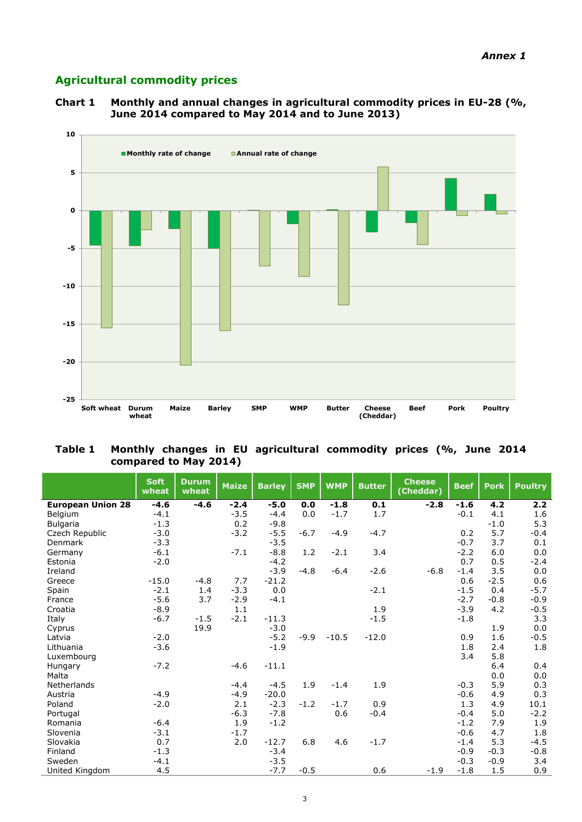# **Agricultural commodity prices**

**Chart 1 Monthly and annual changes in agricultural commodity prices in EU-28 (%, June 2014 compared to May 2014 and to June 2013)**



**Table 1 Monthly changes in EU agricultural commodity prices (%, June 2014 compared to May 2014)**

|                          | Soft<br>wheat | <b>Durum</b><br>wheat | <b>Maize</b> | <b>Barley</b> | <b>SMP</b> | <b>WMP</b> | <b>Butter</b> | <b>Cheese</b><br>(Cheddar) | <b>Beef</b> | <b>Pork</b> | <b>Poultry</b> |
|--------------------------|---------------|-----------------------|--------------|---------------|------------|------------|---------------|----------------------------|-------------|-------------|----------------|
| <b>European Union 28</b> | $-4.6$        | $-4.6$                | $-2.4$       | $-5.0$        | 0.0        | $-1.8$     | 0.1           | $-2.8$                     | $-1.6$      | 4.2         | 2.2            |
| Belgium                  | $-4.1$        |                       | $-3.5$       | $-4.4$        | 0.0        | $-1.7$     | 1.7           |                            | $-0.1$      | 4.1         | 1.6            |
| <b>Bulgaria</b>          | $-1.3$        |                       | 0.2          | $-9.8$        |            |            |               |                            |             | $-1.0$      | 5.3            |
| Czech Republic           | $-3.0$        |                       | $-3.2$       | $-5.5$        | $-6.7$     | $-4.9$     | $-4.7$        |                            | 0.2         | 5.7         | $-0.4$         |
| Denmark                  | $-3.3$        |                       |              | $-3.5$        |            |            |               |                            | $-0.7$      | 3.7         | 0.1            |
| Germany                  | $-6.1$        |                       | $-7.1$       | $-8.8$        | 1.2        | $-2.1$     | 3.4           |                            | $-2.2$      | 6.0         | 0.0            |
| Estonia                  | $-2.0$        |                       |              | $-4.2$        |            |            |               |                            | 0.7         | 0.5         | $-2.4$         |
| Ireland                  |               |                       |              | $-3.9$        | $-4.8$     | $-6.4$     | $-2.6$        | $-6.8$                     | $-1.4$      | 3.5         | 0.0            |
| Greece                   | $-15.0$       | $-4.8$                | 7.7          | $-21.2$       |            |            |               |                            | 0.6         | $-2.5$      | 0.6            |
| Spain                    | $-2.1$        | 1.4                   | $-3.3$       | 0.0           |            |            | $-2.1$        |                            | $-1.5$      | 0.4         | $-5.7$         |
| France                   | $-5.6$        | 3.7                   | $-2.9$       | $-4.1$        |            |            |               |                            | $-2.7$      | $-0.8$      | $-0.9$         |
| Croatia                  | $-8.9$        |                       | 1.1          |               |            |            | 1.9           |                            | $-3.9$      | 4.2         | $-0.5$         |
| Italy                    | $-6.7$        | $-1.5$                | $-2.1$       | $-11.3$       |            |            | $-1.5$        |                            | $-1.8$      |             | 3.3            |
| Cyprus                   |               | 19.9                  |              | $-3.0$        |            |            |               |                            |             | 1.9         | 0.0            |
| Latvia                   | $-2.0$        |                       |              | $-5.2$        | $-9.9$     | $-10.5$    | $-12.0$       |                            | 0.9         | 1.6         | $-0.5$         |
| Lithuania                | $-3.6$        |                       |              | $-1.9$        |            |            |               |                            | 1.8         | 2.4         | 1.8            |
| Luxembourg               |               |                       |              |               |            |            |               |                            | 3.4         | 5.8         |                |
| Hungary                  | $-7.2$        |                       | $-4.6$       | $-11.1$       |            |            |               |                            |             | 6.4         | 0.4            |
| Malta                    |               |                       |              |               |            |            |               |                            |             | 0.0         | 0.0            |
| Netherlands              |               |                       | $-4.4$       | $-4.5$        | 1.9        | $-1.4$     | 1.9           |                            | $-0.3$      | 5.9         | 0.3            |
| Austria                  | $-4.9$        |                       | $-4.9$       | $-20.0$       |            |            |               |                            | $-0.6$      | 4.9         | 0.3            |
| Poland                   | $-2.0$        |                       | 2.1          | $-2.3$        | $-1.2$     | $-1.7$     | 0.9           |                            | 1.3         | 4.9         | 10.1           |
| Portugal                 |               |                       | $-6.3$       | $-7.8$        |            | 0.6        | $-0.4$        |                            | $-0.4$      | 5.0         | $-2.2$         |
| Romania                  | $-6.4$        |                       | 1.9          | $-1.2$        |            |            |               |                            | $-1.2$      | 7.9         | 1.9            |
| Slovenia                 | $-3.1$        |                       | $-1.7$       |               |            |            |               |                            | $-0.6$      | 4.7         | 1.8            |
| Slovakia                 | 0.7           |                       | 2.0          | $-12.7$       | 6.8        | 4.6        | $-1.7$        |                            | $-1.4$      | 5.3         | $-4.5$         |
| Finland                  | $-1.3$        |                       |              | $-3.4$        |            |            |               |                            | $-0.9$      | $-0.3$      | $-0.8$         |
| Sweden                   | $-4.1$        |                       |              | $-3.5$        |            |            |               |                            | $-0.3$      | $-0.9$      | 3.4            |
| United Kingdom           | 4.5           |                       |              | $-7.7$        | $-0.5$     |            | 0.6           | $-1.9$                     | $-1.8$      | 1.5         | 0.9            |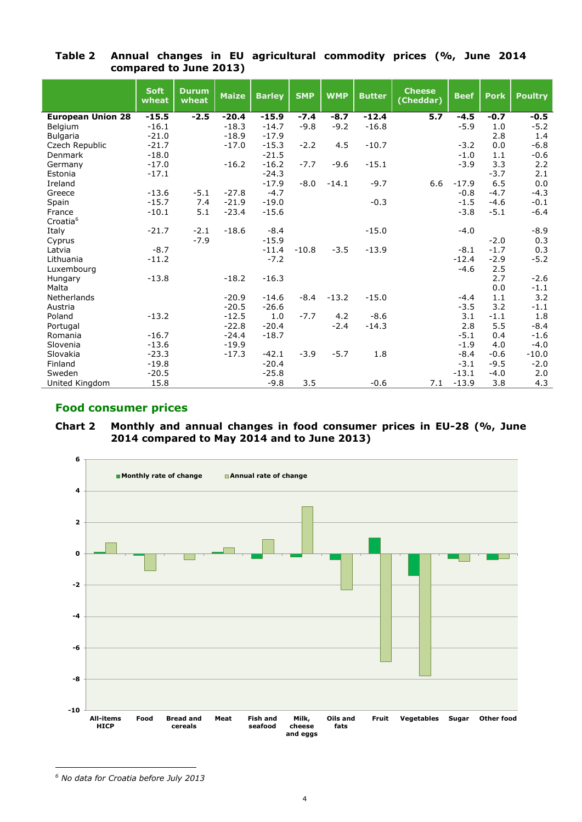|                          | <b>Soft</b><br>wheat | <b>Durum</b><br>wheat | <b>Maize</b> | <b>Barley</b> | <b>SMP</b> | <b>WMP</b> | <b>Butter</b> | <b>Cheese</b><br>(Cheddar) | <b>Beef</b> | <b>Pork</b> | <b>Poultry</b> |
|--------------------------|----------------------|-----------------------|--------------|---------------|------------|------------|---------------|----------------------------|-------------|-------------|----------------|
| <b>European Union 28</b> | $-15.5$              | $-2.5$                | $-20.4$      | $-15.9$       | $-7.4$     | $-8.7$     | $-12.4$       | 5.7                        | $-4.5$      | $-0.7$      | $-0.5$         |
| Belgium                  | $-16.1$              |                       | $-18.3$      | $-14.7$       | $-9.8$     | $-9.2$     | $-16.8$       |                            | $-5.9$      | 1.0         | $-5.2$         |
| <b>Bulgaria</b>          | $-21.0$              |                       | $-18.9$      | $-17.9$       |            |            |               |                            |             | 2.8         | 1.4            |
| Czech Republic           | $-21.7$              |                       | $-17.0$      | $-15.3$       | $-2.2$     | 4.5        | $-10.7$       |                            | $-3.2$      | 0.0         | $-6.8$         |
| Denmark                  | $-18.0$              |                       |              | $-21.5$       |            |            |               |                            | $-1.0$      | 1.1         | $-0.6$         |
| Germany                  | $-17.0$              |                       | $-16.2$      | $-16.2$       | $-7.7$     | $-9.6$     | $-15.1$       |                            | $-3.9$      | 3.3         | 2.2            |
| Estonia                  | $-17.1$              |                       |              | $-24.3$       |            |            |               |                            |             | $-3.7$      | 2.1            |
| Ireland                  |                      |                       |              | $-17.9$       | $-8.0$     | $-14.1$    | $-9.7$        | 6.6                        | $-17.9$     | 6.5         | 0.0            |
| Greece                   | $-13.6$              | $-5.1$                | $-27.8$      | $-4.7$        |            |            |               |                            | $-0.8$      | $-4.7$      | $-4.3$         |
| Spain                    | $-15.7$              | 7.4                   | $-21.9$      | $-19.0$       |            |            | $-0.3$        |                            | $-1.5$      | $-4.6$      | $-0.1$         |
| France                   | $-10.1$              | 5.1                   | $-23.4$      | $-15.6$       |            |            |               |                            | $-3.8$      | $-5.1$      | $-6.4$         |
| Croatia <sup>6</sup>     |                      |                       |              |               |            |            |               |                            |             |             |                |
| Italy                    | $-21.7$              | $-2.1$                | $-18.6$      | $-8.4$        |            |            | $-15.0$       |                            | $-4.0$      |             | $-8.9$         |
| Cyprus                   |                      | $-7.9$                |              | $-15.9$       |            |            |               |                            |             | $-2.0$      | 0.3            |
| Latvia                   | $-8.7$               |                       |              | $-11.4$       | $-10.8$    | $-3.5$     | $-13.9$       |                            | $-8.1$      | $-1.7$      | 0.3            |
| Lithuania                | $-11.2$              |                       |              | $-7.2$        |            |            |               |                            | $-12.4$     | $-2.9$      | $-5.2$         |
| Luxembourg               |                      |                       |              |               |            |            |               |                            | $-4.6$      | 2.5         |                |
| Hungary                  | $-13.8$              |                       | $-18.2$      | $-16.3$       |            |            |               |                            |             | 2.7         | $-2.6$         |
| Malta                    |                      |                       |              |               |            |            |               |                            |             | 0.0         | $-1.1$         |
| Netherlands              |                      |                       | $-20.9$      | $-14.6$       | $-8.4$     | $-13.2$    | $-15.0$       |                            | $-4.4$      | 1.1         | 3.2            |
| Austria                  |                      |                       | $-20.5$      | $-26.6$       |            |            |               |                            | $-3.5$      | 3.2         | $-1.1$         |
| Poland                   | $-13.2$              |                       | $-12.5$      | 1.0           | $-7.7$     | 4.2        | $-8.6$        |                            | 3.1         | $-1.1$      | 1.8            |
| Portugal                 |                      |                       | $-22.8$      | $-20.4$       |            | $-2.4$     | $-14.3$       |                            | 2.8         | 5.5         | $-8.4$         |
| Romania                  | $-16.7$              |                       | $-24.4$      | $-18.7$       |            |            |               |                            | $-5.1$      | 0.4         | $-1.6$         |
| Slovenia                 | $-13.6$              |                       | $-19.9$      |               |            |            |               |                            | $-1.9$      | 4.0         | $-4.0$         |
| Slovakia                 | $-23.3$              |                       | $-17.3$      | $-42.1$       | $-3.9$     | $-5.7$     | 1.8           |                            | $-8.4$      | $-0.6$      | $-10.0$        |
| Finland                  | $-19.8$              |                       |              | $-20.4$       |            |            |               |                            | $-3.1$      | $-9.5$      | $-2.0$         |
| Sweden                   | $-20.5$              |                       |              | $-25.8$       |            |            |               |                            | $-13.1$     | $-4.0$      | 2.0            |
| United Kingdom           | 15.8                 |                       |              | $-9.8$        | 3.5        |            | $-0.6$        | 7.1                        | $-13.9$     | 3.8         | 4.3            |

# **Table 2 Annual changes in EU agricultural commodity prices (%, June 2014 compared to June 2013)**

# **Food consumer prices**





*<sup>6</sup> No data for Croatia before July 2013* 

<u>.</u>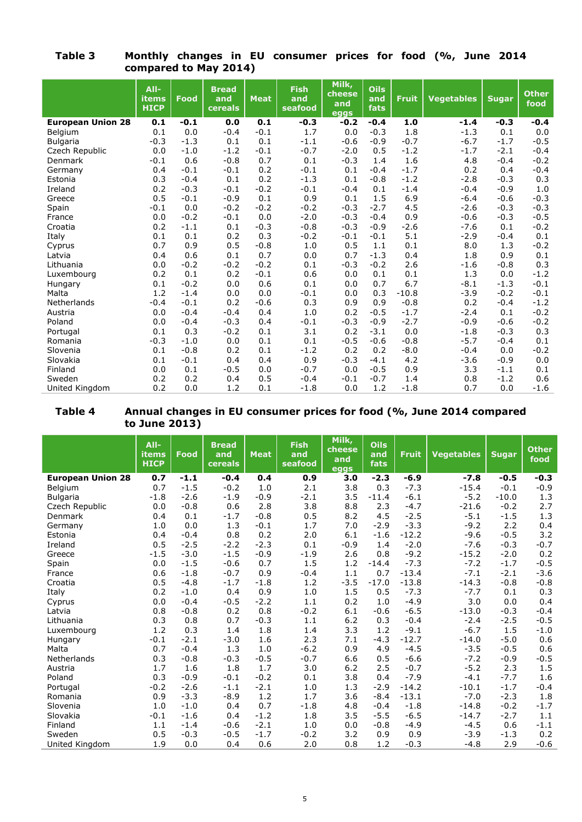| Table 3 |                       |  | Monthly changes in EU consumer prices for food (%, June 2014 |  |  |  |
|---------|-----------------------|--|--------------------------------------------------------------|--|--|--|
|         | compared to May 2014) |  |                                                              |  |  |  |

|                          | $All-$<br><b>items</b><br><b>HICP</b> | Food   | <b>Bread</b><br>and<br>cereals | <b>Meat</b> | <b>Fish</b><br>and<br>seafood | Milk,<br>cheese<br>and<br>eggs | <b>Oils</b><br>and<br>fats | <b>Fruit</b> | <b>Vegetables</b> | <b>Sugar</b> | <b>Other</b><br>food |
|--------------------------|---------------------------------------|--------|--------------------------------|-------------|-------------------------------|--------------------------------|----------------------------|--------------|-------------------|--------------|----------------------|
| <b>European Union 28</b> | 0.1                                   | $-0.1$ | 0.0                            | 0.1         | $-0.3$                        | $-0.2$                         | $-0.4$                     | 1.0          | $-1.4$            | $-0.3$       | $-0.4$               |
| Belgium                  | 0.1                                   | 0.0    | $-0.4$                         | $-0.1$      | 1.7                           | 0.0                            | $-0.3$                     | 1.8          | $-1.3$            | 0.1          | 0.0                  |
| <b>Bulgaria</b>          | $-0.3$                                | $-1.3$ | 0.1                            | 0.1         | $-1.1$                        | $-0.6$                         | $-0.9$                     | $-0.7$       | $-6.7$            | $-1.7$       | $-0.5$               |
| Czech Republic           | 0.0                                   | $-1.0$ | $-1.2$                         | $-0.1$      | $-0.7$                        | $-2.0$                         | 0.5                        | $-1.2$       | $-1.7$            | $-2.1$       | $-0.4$               |
| Denmark                  | $-0.1$                                | 0.6    | $-0.8$                         | 0.7         | 0.1                           | $-0.3$                         | 1.4                        | 1.6          | 4.8               | $-0.4$       | $-0.2$               |
| Germany                  | 0.4                                   | $-0.1$ | $-0.1$                         | 0.2         | $-0.1$                        | 0.1                            | $-0.4$                     | $-1.7$       | 0.2               | 0.4          | $-0.4$               |
| Estonia                  | 0.3                                   | $-0.4$ | 0.1                            | 0.2         | $-1.3$                        | 0.1                            | $-0.8$                     | $-1.2$       | $-2.8$            | $-0.3$       | 0.3                  |
| Ireland                  | 0.2                                   | $-0.3$ | $-0.1$                         | $-0.2$      | $-0.1$                        | $-0.4$                         | 0.1                        | $-1.4$       | $-0.4$            | $-0.9$       | $1.0\,$              |
| Greece                   | 0.5                                   | $-0.1$ | $-0.9$                         | 0.1         | 0.9                           | 0.1                            | 1.5                        | 6.9          | $-6.4$            | $-0.6$       | $-0.3$               |
| Spain                    | $-0.1$                                | 0.0    | $-0.2$                         | $-0.2$      | $-0.2$                        | $-0.3$                         | $-2.7$                     | 4.5          | $-2.6$            | $-0.3$       | $-0.3$               |
| France                   | 0.0                                   | $-0.2$ | $-0.1$                         | 0.0         | $-2.0$                        | $-0.3$                         | $-0.4$                     | 0.9          | $-0.6$            | $-0.3$       | $-0.5$               |
| Croatia                  | 0.2                                   | $-1.1$ | 0.1                            | $-0.3$      | $-0.8$                        | $-0.3$                         | $-0.9$                     | $-2.6$       | $-7.6$            | 0.1          | $-0.2$               |
| Italy                    | 0.1                                   | 0.1    | 0.2                            | 0.3         | $-0.2$                        | $-0.1$                         | $-0.1$                     | 5.1          | $-2.9$            | $-0.4$       | 0.1                  |
| Cyprus                   | 0.7                                   | 0.9    | 0.5                            | $-0.8$      | 1.0                           | 0.5                            | 1.1                        | 0.1          | 8.0               | 1.3          | $-0.2$               |
| Latvia                   | 0.4                                   | 0.6    | 0.1                            | 0.7         | 0.0                           | 0.7                            | $-1.3$                     | 0.4          | 1.8               | 0.9          | 0.1                  |
| Lithuania                | 0.0                                   | $-0.2$ | $-0.2$                         | $-0.2$      | 0.1                           | $-0.3$                         | $-0.2$                     | 2.6          | $-1.6$            | $-0.8$       | 0.3                  |
| Luxembourg               | 0.2                                   | 0.1    | 0.2                            | $-0.1$      | 0.6                           | 0.0                            | 0.1                        | 0.1          | 1.3               | 0.0          | $-1.2$               |
| Hungary                  | 0.1                                   | $-0.2$ | 0.0                            | 0.6         | 0.1                           | 0.0                            | 0.7                        | 6.7          | $-8.1$            | $-1.3$       | $-0.1$               |
| Malta                    | 1.2                                   | $-1.4$ | 0.0                            | 0.0         | $-0.1$                        | 0.0                            | 0.3                        | $-10.8$      | $-3.9$            | $-0.2$       | $-0.1$               |
| Netherlands              | $-0.4$                                | $-0.1$ | 0.2                            | $-0.6$      | 0.3                           | 0.9                            | 0.9                        | $-0.8$       | 0.2               | $-0.4$       | $-1.2$               |
| Austria                  | 0.0                                   | $-0.4$ | $-0.4$                         | 0.4         | 1.0                           | 0.2                            | $-0.5$                     | $-1.7$       | $-2.4$            | 0.1          | $-0.2$               |
| Poland                   | 0.0                                   | $-0.4$ | $-0.3$                         | 0.4         | $-0.1$                        | $-0.3$                         | $-0.9$                     | $-2.7$       | $-0.9$            | $-0.6$       | $-0.2$               |
| Portugal                 | 0.1                                   | 0.3    | $-0.2$                         | 0.1         | 3.1                           | 0.2                            | $-3.1$                     | 0.0          | $-1.8$            | $-0.3$       | 0.3                  |
| Romania                  | $-0.3$                                | $-1.0$ | 0.0                            | 0.1         | 0.1                           | $-0.5$                         | $-0.6$                     | $-0.8$       | $-5.7$            | $-0.4$       | 0.1                  |
| Slovenia                 | 0.1                                   | $-0.8$ | 0.2                            | 0.1         | $-1.2$                        | 0.2                            | 0.2                        | $-8.0$       | $-0.4$            | 0.0          | $-0.2$               |
| Slovakia                 | 0.1                                   | $-0.1$ | 0.4                            | 0.4         | 0.9                           | $-0.3$                         | $-4.1$                     | 4.2          | $-3.6$            | $-0.9$       | 0.0                  |
| Finland                  | 0.0                                   | 0.1    | $-0.5$                         | 0.0         | $-0.7$                        | 0.0                            | $-0.5$                     | 0.9          | 3.3               | $-1.1$       | 0.1                  |
| Sweden                   | 0.2                                   | 0.2    | 0.4                            | 0.5         | $-0.4$                        | $-0.1$                         | $-0.7$                     | 1.4          | 0.8               | $-1.2$       | 0.6                  |
| United Kingdom           | 0.2                                   | 0.0    | 1.2                            | 0.1         | $-1.8$                        | 0.0                            | 1.2                        | $-1.8$       | 0.7               | 0.0          | $-1.6$               |

### **Table 4 Annual changes in EU consumer prices for food (%, June 2014 compared to June 2013)**

|                          | $All-$<br>items<br><b>HICP</b> | Food   | <b>Bread</b><br>and<br>cereals | <b>Meat</b> | <b>Fish</b><br>and<br>seafood | Milk,<br>cheese<br>and<br>eggs | <b>Oils</b><br>and<br>fats | <b>Fruit</b> | <b>Vegetables</b> | <b>Sugar</b> | <b>Other</b><br>food |
|--------------------------|--------------------------------|--------|--------------------------------|-------------|-------------------------------|--------------------------------|----------------------------|--------------|-------------------|--------------|----------------------|
| <b>European Union 28</b> | 0.7                            | $-1.1$ | $-0.4$                         | 0.4         | 0.9                           | 3.0                            | $-2.3$                     | $-6.9$       | $-7.8$            | $-0.5$       | $-0.3$               |
| Belgium                  | 0.7                            | $-1.5$ | $-0.2$                         | 1.0         | 2.1                           | 3.8                            | 0.3                        | $-7.3$       | $-15.4$           | $-0.1$       | $-0.9$               |
| <b>Bulgaria</b>          | $-1.8$                         | $-2.6$ | $-1.9$                         | $-0.9$      | $-2.1$                        | 3.5                            | $-11.4$                    | $-6.1$       | $-5.2$            | $-10.0$      | 1.3                  |
| Czech Republic           | 0.0                            | $-0.8$ | 0.6                            | 2.8         | 3.8                           | 8.8                            | 2.3                        | $-4.7$       | $-21.6$           | $-0.2$       | 2.7                  |
| <b>Denmark</b>           | 0.4                            | 0.1    | $-1.7$                         | $-0.8$      | 0.5                           | 8.2                            | 4.5                        | $-2.5$       | $-5.1$            | $-1.5$       | 1.3                  |
| Germany                  | 1.0                            | 0.0    | 1.3                            | $-0.1$      | 1.7                           | 7.0                            | $-2.9$                     | $-3.3$       | $-9.2$            | 2.2          | 0.4                  |
| Estonia                  | 0.4                            | $-0.4$ | 0.8                            | 0.2         | 2.0                           | 6.1                            | $-1.6$                     | $-12.2$      | $-9.6$            | $-0.5$       | 3.2                  |
| Ireland                  | 0.5                            | $-2.5$ | $-2.2$                         | $-2.3$      | 0.1                           | $-0.9$                         | 1.4                        | $-2.0$       | $-7.6$            | $-0.3$       | $-0.7$               |
| Greece                   | $-1.5$                         | $-3.0$ | $-1.5$                         | $-0.9$      | $-1.9$                        | 2.6                            | 0.8                        | $-9.2$       | $-15.2$           | $-2.0$       | 0.2                  |
| Spain                    | 0.0                            | $-1.5$ | $-0.6$                         | 0.7         | 1.5                           | 1.2                            | $-14.4$                    | $-7.3$       | $-7.2$            | $-1.7$       | $-0.5$               |
| France                   | 0.6                            | $-1.8$ | $-0.7$                         | 0.9         | $-0.4$                        | 1.1                            | 0.7                        | $-13.4$      | $-7.1$            | $-2.1$       | $-3.6$               |
| Croatia                  | 0.5                            | $-4.8$ | $-1.7$                         | $-1.8$      | 1.2                           | $-3.5$                         | $-17.0$                    | $-13.8$      | $-14.3$           | $-0.8$       | $-0.8$               |
| Italy                    | 0.2                            | $-1.0$ | 0.4                            | 0.9         | 1.0                           | 1.5                            | 0.5                        | $-7.3$       | $-7.7$            | 0.1          | 0.3                  |
| Cyprus                   | 0.0                            | $-0.4$ | $-0.5$                         | $-2.2$      | 1.1                           | 0.2                            | 1.0                        | $-4.9$       | 3.0               | 0.0          | 0.4                  |
| Latvia                   | 0.8                            | $-0.8$ | 0.2                            | 0.8         | $-0.2$                        | 6.1                            | $-0.6$                     | $-6.5$       | $-13.0$           | $-0.3$       | $-0.4$               |
| Lithuania                | 0.3                            | 0.8    | 0.7                            | $-0.3$      | 1.1                           | 6.2                            | 0.3                        | $-0.4$       | $-2.4$            | $-2.5$       | $-0.5$               |
| Luxembourg               | 1.2                            | 0.3    | 1.4                            | 1.8         | 1.4                           | 3.3                            | 1.2                        | $-9.1$       | $-6.7$            | 1.5          | $-1.0$               |
| Hungary                  | $-0.1$                         | $-2.1$ | $-3.0$                         | 1.6         | 2.3                           | 7.1                            | $-4.3$                     | $-12.7$      | $-14.0$           | $-5.0$       | 0.6                  |
| Malta                    | 0.7                            | $-0.4$ | 1.3                            | 1.0         | $-6.2$                        | 0.9                            | 4.9                        | $-4.5$       | $-3.5$            | $-0.5$       | 0.6                  |
| Netherlands              | 0.3                            | $-0.8$ | $-0.3$                         | $-0.5$      | $-0.7$                        | 6.6                            | 0.5                        | $-6.6$       | $-7.2$            | $-0.9$       | $-0.5$               |
| Austria                  | 1.7                            | 1.6    | 1.8                            | 1.7         | 3.0                           | 6.2                            | 2.5                        | $-0.7$       | $-5.2$            | 2.3          | 1.5                  |
| Poland                   | 0.3                            | $-0.9$ | $-0.1$                         | $-0.2$      | 0.1                           | 3.8                            | 0.4                        | $-7.9$       | $-4.1$            | $-7.7$       | 1.6                  |
| Portugal                 | $-0.2$                         | $-2.6$ | $-1.1$                         | $-2.1$      | 1.0                           | 1.3                            | $-2.9$                     | $-14.2$      | $-10.1$           | $-1.7$       | $-0.4$               |
| Romania                  | 0.9                            | $-3.3$ | $-8.9$                         | 1.2         | 1.7                           | 3.6                            | $-8.4$                     | $-13.1$      | $-7.0$            | $-2.3$       | 1.8                  |
| Slovenia                 | 1.0                            | $-1.0$ | 0.4                            | 0.7         | $-1.8$                        | 4.8                            | $-0.4$                     | $-1.8$       | $-14.8$           | $-0.2$       | $-1.7$               |
| Slovakia                 | $-0.1$                         | $-1.6$ | 0.4                            | $-1.2$      | 1.8                           | 3.5                            | $-5.5$                     | $-6.5$       | $-14.7$           | $-2.7$       | 1.1                  |
| Finland                  | 1.1                            | $-1.4$ | $-0.6$                         | $-2.1$      | 1.0                           | 0.0                            | $-0.8$                     | $-4.9$       | $-4.5$            | 0.6          | $-1.1$               |
| Sweden                   | 0.5                            | $-0.3$ | $-0.5$                         | $-1.7$      | $-0.2$                        | 3.2                            | 0.9                        | 0.9          | $-3.9$            | $-1.3$       | 0.2                  |
| United Kingdom           | 1.9                            | 0.0    | 0.4                            | 0.6         | 2.0                           | 0.8                            | 1.2                        | $-0.3$       | $-4.8$            | 2.9          | $-0.6$               |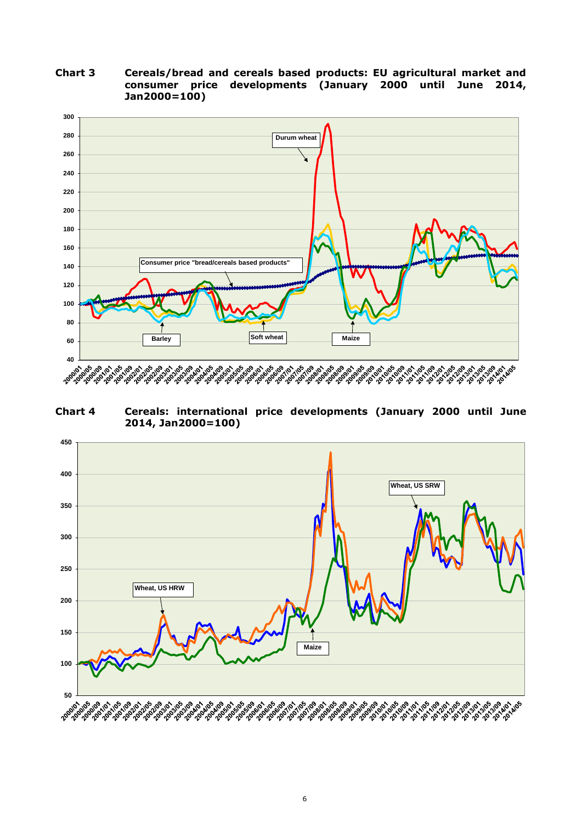### **Chart 3 Cereals/bread and cereals based products: EU agricultural market and consumer price developments (January 2000 until June 2014, Jan2000=100)**



**Chart 4 Cereals: international price developments (January 2000 until June 2014, Jan2000=100)**

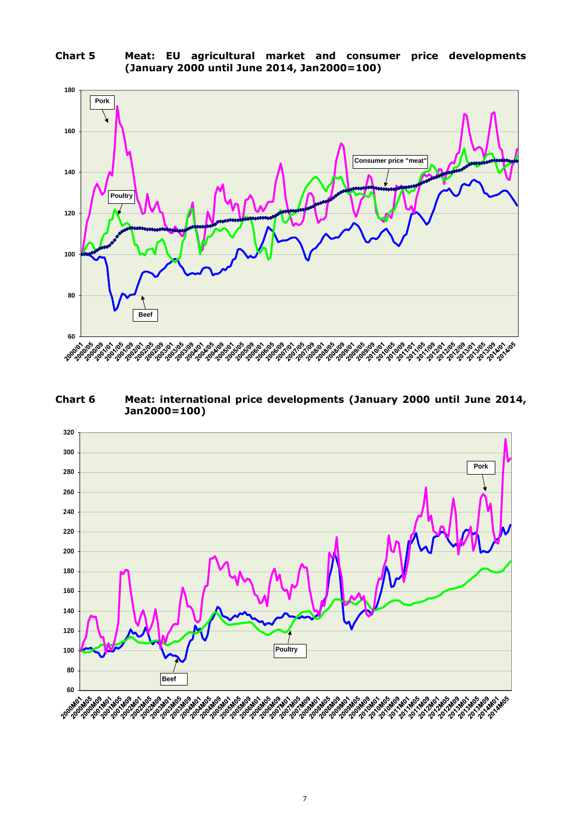**Chart 5 Meat: EU agricultural market and consumer price developments (January 2000 until June 2014, Jan2000=100)**



**Chart 6 Meat: international price developments (January 2000 until June 2014, Jan2000=100)**

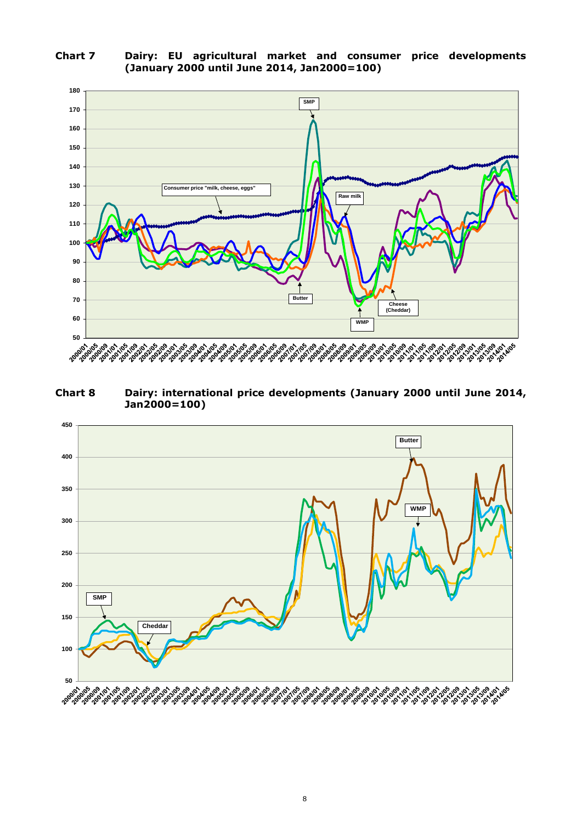

**Chart 7 Dairy: EU agricultural market and consumer price developments (January 2000 until June 2014, Jan2000=100)**

**Chart 8 Dairy: international price developments (January 2000 until June 2014, Jan2000=100)**